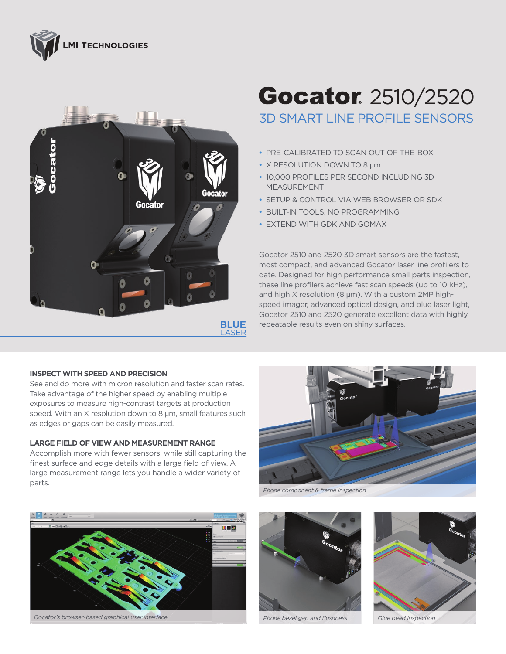



## **Gocator** 2510/2520 3D SMART LINE PROFILE SENSORS

- **•** PRE-CALIBRATED TO SCAN OUT-OF-THE-BOX
- **•** X RESOLUTION DOWN TO 8 µm
- **•** 10,000 PROFILES PER SECOND INCLUDING 3D MEASUREMENT
- **•** SETUP & CONTROL VIA WEB BROWSER OR SDK
- **•** BUILT-IN TOOLS, NO PROGRAMMING
- **•** EXTEND WITH GDK AND GOMAX

Gocator 2510 and 2520 3D smart sensors are the fastest, most compact, and advanced Gocator laser line profilers to date. Designed for high performance small parts inspection, these line profilers achieve fast scan speeds (up to 10 kHz), and high  $X$  resolution (8  $\mu$ m). With a custom 2MP highspeed imager, advanced optical design, and blue laser light, Gocator 2510 and 2520 generate excellent data with highly repeatable results even on shiny surfaces.

## **INSPECT WITH SPEED AND PRECISION**

See and do more with micron resolution and faster scan rates. Take advantage of the higher speed by enabling multiple exposures to measure high-contrast targets at production speed. With an  $X$  resolution down to 8  $\mu$ m, small features such as edges or gaps can be easily measured.

## **LARGE FIELD OF VIEW AND MEASUREMENT RANGE**

Accomplish more with fewer sensors, while still capturing the finest surface and edge details with a large field of view. A large measurement range lets you handle a wider variety of parts.



*Gocator's browser-based graphical user interface Glue bead inspection*



*Phone component & frame inspection*



*Phone bezel gap and flushness*